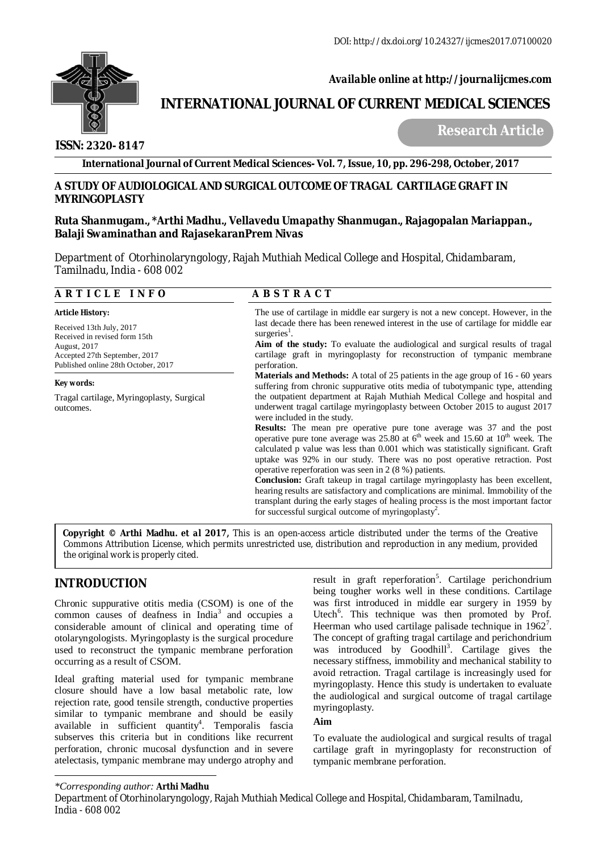

## *Available online at<http://journalijcmes.com>*

# **INTERNATIONAL JOURNAL OF CURRENT MEDICAL SCIENCES**

 **ISSN: 2320- 8147**

 **Research Article**

**International Journal of Current Medical Sciences- Vol. 7, Issue, 10, pp. 296-298, October, 2017**

#### **A STUDY OF AUDIOLOGICAL AND SURGICAL OUTCOME OF TRAGAL CARTILAGE GRAFT IN MYRINGOPLASTY**

#### **Ruta Shanmugam., \*Arthi Madhu., Vellavedu Umapathy Shanmugan., Rajagopalan Mariappan., Balaji Swaminathan and RajasekaranPrem Nivas**

Department of Otorhinolaryngology, Rajah Muthiah Medical College and Hospital, Chidambaram, Tamilnadu, India - 608 002

| <b>ARTICLE INFO</b>                                                                  | <b>ABSTRACT</b>                                                                                                                                                                                                                                                                                                                                                                                                                                                                                                                                                                                                                                                                                                                                                                                                                                                                                                                        |  |  |  |
|--------------------------------------------------------------------------------------|----------------------------------------------------------------------------------------------------------------------------------------------------------------------------------------------------------------------------------------------------------------------------------------------------------------------------------------------------------------------------------------------------------------------------------------------------------------------------------------------------------------------------------------------------------------------------------------------------------------------------------------------------------------------------------------------------------------------------------------------------------------------------------------------------------------------------------------------------------------------------------------------------------------------------------------|--|--|--|
| <b>Article History:</b><br>Received 13th July, 2017<br>Received in revised form 15th | The use of cartilage in middle ear surgery is not a new concept. However, in the<br>last decade there has been renewed interest in the use of cartilage for middle ear<br>surgeries <sup>1</sup> .                                                                                                                                                                                                                                                                                                                                                                                                                                                                                                                                                                                                                                                                                                                                     |  |  |  |
| August, 2017<br>Accepted 27th September, 2017<br>Published online 28th October, 2017 | <b>Aim of the study:</b> To evaluate the audiological and surgical results of tragal<br>cartilage graft in myringoplasty for reconstruction of tympanic membrane<br>perforation.                                                                                                                                                                                                                                                                                                                                                                                                                                                                                                                                                                                                                                                                                                                                                       |  |  |  |
| Key words:                                                                           | <b>Materials and Methods:</b> A total of 25 patients in the age group of 16 - 60 years<br>suffering from chronic suppurative otits media of tubotympanic type, attending                                                                                                                                                                                                                                                                                                                                                                                                                                                                                                                                                                                                                                                                                                                                                               |  |  |  |
| Tragal cartilage, Myringoplasty, Surgical<br>outcomes.                               | the outpatient department at Rajah Muthiah Medical College and hospital and<br>underwent tragal cartilage myringoplasty between October 2015 to august 2017<br>were included in the study.<br><b>Results:</b> The mean pre operative pure tone average was 37 and the post<br>operative pure tone average was $25.80$ at $6th$ week and 15.60 at $10th$ week. The<br>calculated p value was less than 0.001 which was statistically significant. Graft<br>uptake was 92% in our study. There was no post operative retraction. Post<br>operative reperforation was seen in 2 $(8\%)$ patients.<br><b>Conclusion:</b> Graft takeup in tragal cartilage myring oplasty has been excellent,<br>hearing results are satisfactory and complications are minimal. Immobility of the<br>transplant during the early stages of healing process is the most important factor<br>for successful surgical outcome of myringoplasty <sup>2</sup> . |  |  |  |

**Copyright © Arthi Madhu***. et al* **2017***,* This is an open-access article distributed under the terms of the Creative Commons Attribution License, which permits unrestricted use, distribution and reproduction in any medium, provided the original work is properly cited.

## **INTRODUCTION**

Chronic suppurative otitis media (CSOM) is one of the common causes of deafness in India<sup>3</sup> and occupies a considerable amount of clinical and operating time of otolaryngologists. Myringoplasty is the surgical procedure used to reconstruct the tympanic membrane perforation occurring as a result of CSOM.

Ideal grafting material used for tympanic membrane closure should have a low basal metabolic rate, low rejection rate, good tensile strength, conductive properties similar to tympanic membrane and should be easily available in sufficient quantity<sup>4</sup>. Temporalis fascia subserves this criteria but in conditions like recurrent perforation, chronic mucosal dysfunction and in severe atelectasis, tympanic membrane may undergo atrophy and

result in graft reperforation<sup>5</sup>. Cartilage perichondrium being tougher works well in these conditions. Cartilage was first introduced in middle ear surgery in 1959 by Utech<sup>6</sup>. This technique was then promoted by Prof. Heerman who used cartilage palisade technique in  $1962^7$ . The concept of grafting tragal cartilage and perichondrium was introduced by Goodhill<sup>3</sup>. Cartilage gives the necessary stiffness, immobility and mechanical stability to avoid retraction. Tragal cartilage is increasingly used for myringoplasty. Hence this study is undertaken to evaluate the audiological and surgical outcome of tragal cartilage myringoplasty.

#### **Aim**

To evaluate the audiological and surgical results of tragal cartilage graft in myringoplasty for reconstruction of tympanic membrane perforation.

#### *\*Corresponding author:* **Arthi Madhu**

Department of Otorhinolaryngology, Rajah Muthiah Medical College and Hospital, Chidambaram, Tamilnadu, India - 608 002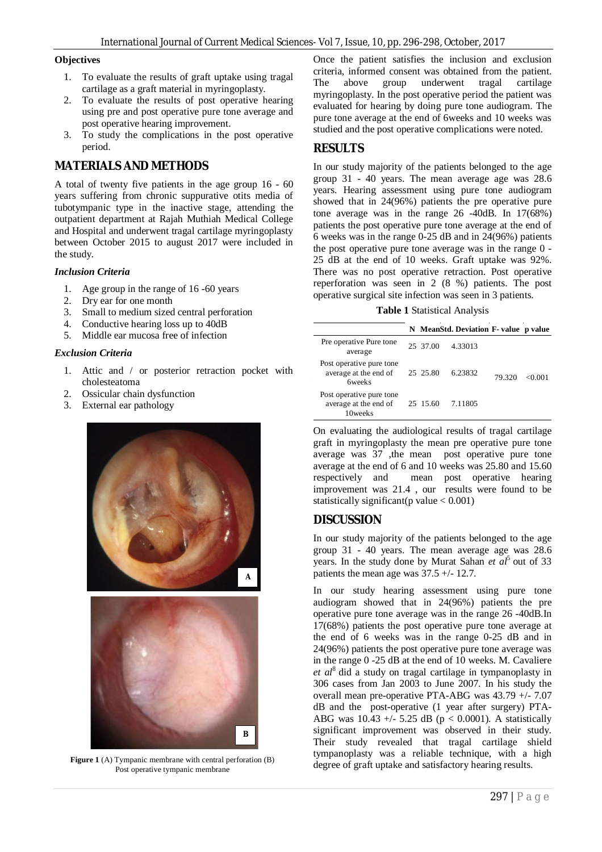#### **Objectives**

- 1. To evaluate the results of graft uptake using tragal cartilage as a graft material in myringoplasty.
- 2. To evaluate the results of post operative hearing using pre and post operative pure tone average and post operative hearing improvement.
- 3. To study the complications in the post operative period.

### **MATERIALS AND METHODS**

A total of twenty five patients in the age group 16 - 60 years suffering from chronic suppurative otits media of tubotympanic type in the inactive stage, attending the outpatient department at Rajah Muthiah Medical College and Hospital and underwent tragal cartilage myringoplasty between October 2015 to august 2017 were included in the study.

#### *Inclusion Criteria*

- 1. Age group in the range of 16 -60 years
- 2. Dry ear for one month
- 3. Small to medium sized central perforation
- 4. Conductive hearing loss up to 40dB
- 5. Middle ear mucosa free of infection

#### *Exclusion Criteria*

- 1. Attic and / or posterior retraction pocket with cholesteatoma
- 2. Ossicular chain dysfunction
- 3. External ear pathology



Post operative tympanic membrane

Once the patient satisfies the inclusion and exclusion criteria, informed consent was obtained from the patient.<br>The above group underwent tragal cartilage The above group underwent tragal cartilage myringoplasty. In the post operative period the patient was evaluated for hearing by doing pure tone audiogram. The pure tone average at the end of 6weeks and 10 weeks was studied and the post operative complications were noted.

### **RESULTS**

In our study majority of the patients belonged to the age group 31 - 40 years. The mean average age was 28.6 years. Hearing assessment using pure tone audiogram showed that in 24(96%) patients the pre operative pure tone average was in the range 26 -40dB. In 17(68%) patients the post operative pure tone average at the end of 6 weeks was in the range  $0-25$  dB and in  $24(96%)$  patients the post operative pure tone average was in the range 0 - 25 dB at the end of 10 weeks. Graft uptake was 92%. There was no post operative retraction. Post operative reperforation was seen in 2 (8 %) patients. The post operative surgical site infection was seen in 3 patients.

|  |  | Table 1 Statistical Analysis |  |
|--|--|------------------------------|--|
|--|--|------------------------------|--|

|                                                                    |          | N MeanStd. Deviation F-value p value |        |        |
|--------------------------------------------------------------------|----------|--------------------------------------|--------|--------|
| Pre operative Pure tone<br>average                                 | 25 37.00 | 4.33013                              | 79.320 | <0.001 |
| Post operative pure tone<br>average at the end of<br><b>6weeks</b> | 25 25.80 | 6.23832                              |        |        |
| Post operative pure tone<br>average at the end of<br>10weeks       | 25 15.60 | 7.11805                              |        |        |

On evaluating the audiological results of tragal cartilage graft in myringoplasty the mean pre operative pure tone average was 37 ,the mean post operative pure tone average at the end of 6 and 10 weeks was 25.80 and 15.60 respectively and mean post operative hearing improvement was 21.4 , our results were found to be statistically significant(p value  $< 0.001$ )

## **DISCUSSION**

In our study majority of the patients belonged to the age group 31 - 40 years. The mean average age was 28.6 years. In the study done by Murat Sahan *et al*<sup>5</sup> out of 33 patients the mean age was  $37.5 + (-12.7)$ .

In our study hearing assessment using pure tone audiogram showed that in 24(96%) patients the pre operative pure tone average was in the range 26 -40dB.In 17(68%) patients the post operative pure tone average at the end of 6 weeks was in the range 0-25 dB and in 24(96%) patients the post operative pure tone average was in the range 0 -25 dB at the end of 10 weeks. M. Cavaliere *et al*<sup>8</sup>did a study on tragal cartilage in tympanoplasty in 306 cases from Jan 2003 to June 2007. In his study the overall mean pre-operative PTA-ABG was 43.79 +/- 7.07 dB and the post-operative (1 year after surgery) PTA-ABG was  $10.43 +/- 5.25$  dB ( $p < 0.0001$ ). A statistically significant improvement was observed in their study. Their study revealed that tragal cartilage shield tympanoplasty was a reliable technique, with a high Figure 1 (A) Tympanic membrane with central perforation (B) degree of graft uptake and satisfactory hearing results.